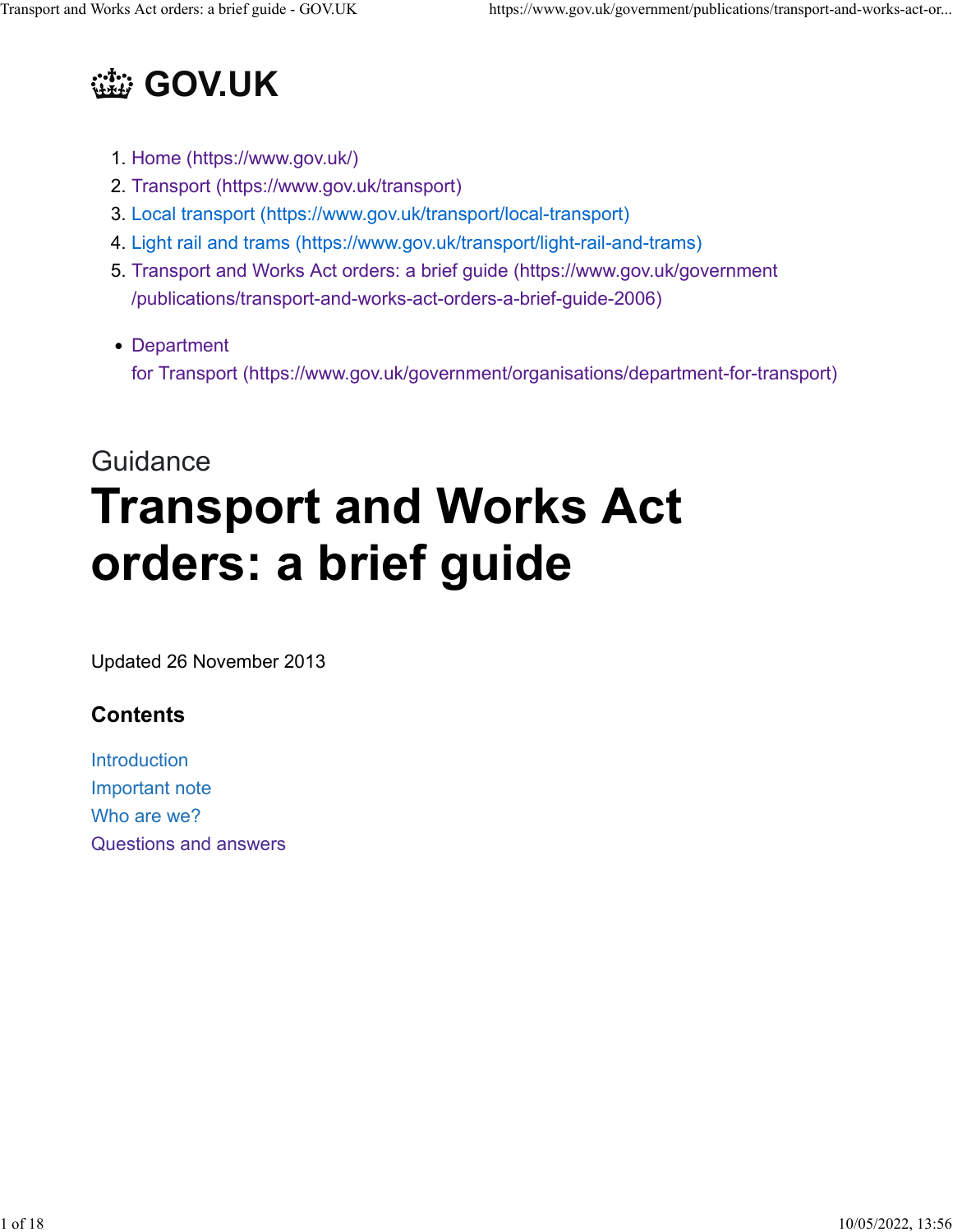

- 1. [Home \(https://www.gov.uk/\)](https://www.gov.uk/)
- 2. [Transport \(https://www.gov.uk/transport\)](https://www.gov.uk/transport)
- 3. [Local transport \(https://www.gov.uk/transport/local-transport\)](https://www.gov.uk/transport/local-transport)
- 4. [Light rail and trams \(https://www.gov.uk/transport/light-rail-and-trams\)](https://www.gov.uk/transport/light-rail-and-trams)
- 5. [Transport and Works Act orders: a brief guide \(https://www.gov.uk/government](https://www.gov.uk/government/publications/transport-and-works-act-orders-a-brief-guide-2006) [/publications/transport-and-works-act-orders-a-brief-guide-2006\)](https://www.gov.uk/government/publications/transport-and-works-act-orders-a-brief-guide-2006)
- [Department](https://www.gov.uk/government/organisations/department-for-transport) [for Transport](https://www.gov.uk/government/organisations/department-for-transport) [\(https://www.gov.uk/government/organisations/department-for-transport\)](https://www.gov.uk/government/organisations/department-for-transport)

# **Guidance Transport and Works Act orders: a brief guide**

Updated 26 November 2013

# **Contents**

**[Introduction](https://www.gov.uk/government/publications/transport-and-works-act-orders-a-brief-guide-2006/transport-and-works-act-orders-a-brief-guide#introduction)** [Important note](https://www.gov.uk/government/publications/transport-and-works-act-orders-a-brief-guide-2006/transport-and-works-act-orders-a-brief-guide#important-note) [Who are we?](https://www.gov.uk/government/publications/transport-and-works-act-orders-a-brief-guide-2006/transport-and-works-act-orders-a-brief-guide#who-are-we) [Questions and answers](https://www.gov.uk/government/publications/transport-and-works-act-orders-a-brief-guide-2006/transport-and-works-act-orders-a-brief-guide#questions-and-answers)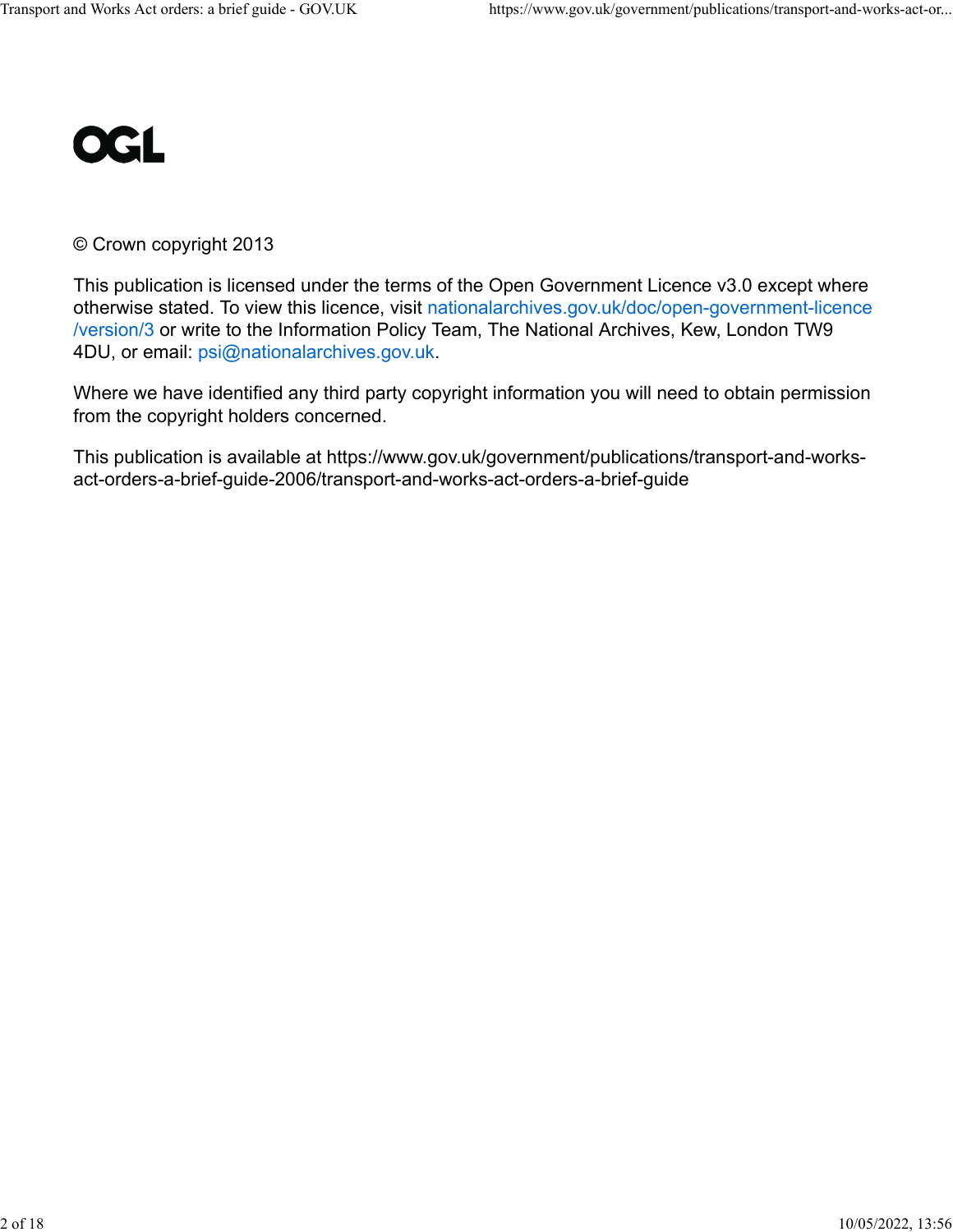

#### © Crown copyright 2013

This publication is licensed under the terms of the Open Government Licence v3.0 except where otherwise stated. To view this licence, visit [nationalarchives.gov.uk/doc/open-government-licence](https://www.nationalarchives.gov.uk/doc/open-government-licence/version/3) [/version/3](https://www.nationalarchives.gov.uk/doc/open-government-licence/version/3) or write to the Information Policy Team, The National Archives, Kew, London TW9 4DU, or email: [psi@nationalarchives.gov.uk.](mailto:psi@nationalarchives.gov.uk)

Where we have identified any third party copyright information you will need to obtain permission from the copyright holders concerned.

This publication is available at https://www.gov.uk/government/publications/transport-and-worksact-orders-a-brief-guide-2006/transport-and-works-act-orders-a-brief-guide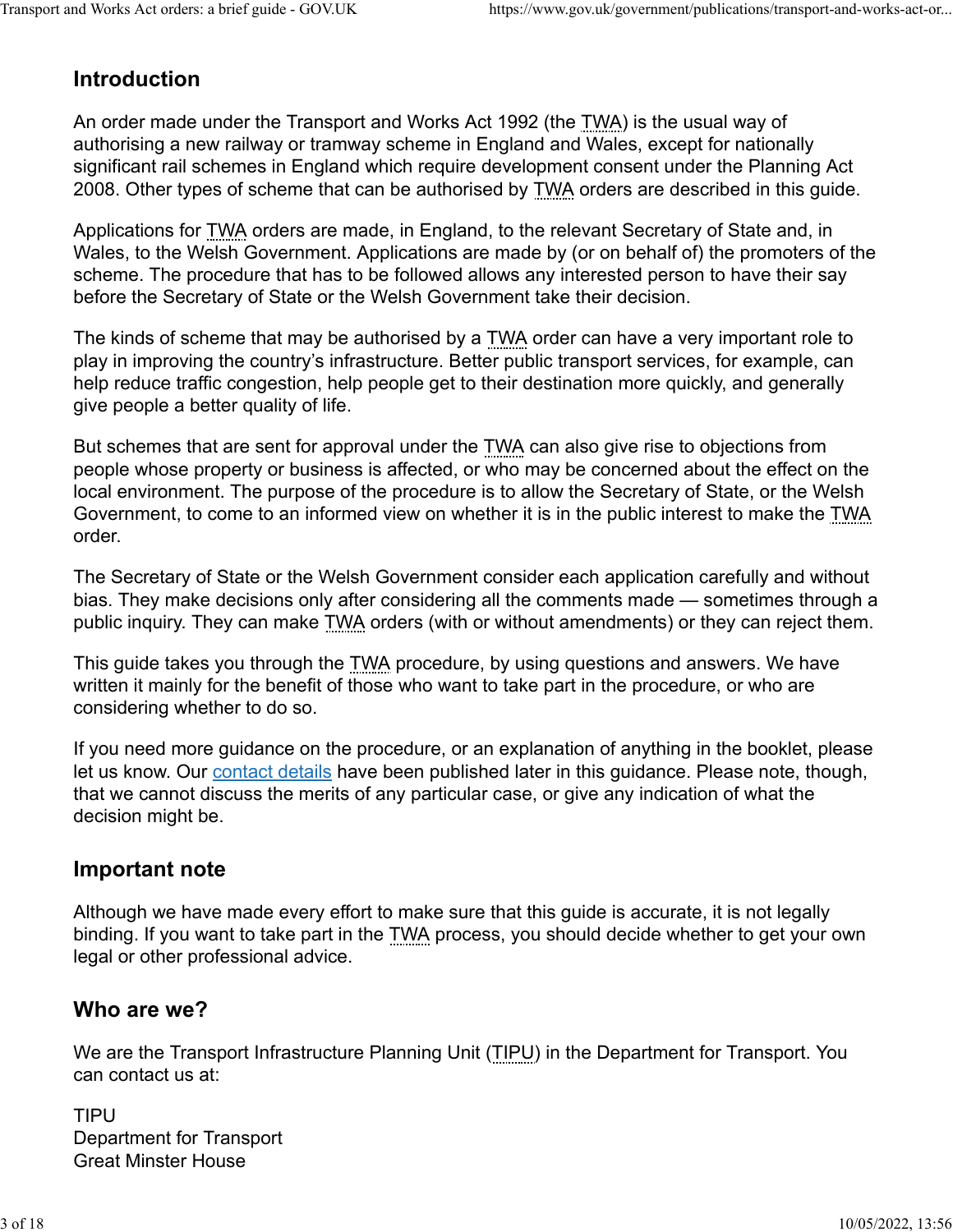# **Introduction**

An order made under the Transport and Works Act 1992 (the TWA) is the usual way of authorising a new railway or tramway scheme in England and Wales, except for nationally significant rail schemes in England which require development consent under the Planning Act 2008. Other types of scheme that can be authorised by TWA orders are described in this guide.

Applications for TWA orders are made, in England, to the relevant Secretary of State and, in Wales, to the Welsh Government. Applications are made by (or on behalf of) the promoters of the scheme. The procedure that has to be followed allows any interested person to have their say before the Secretary of State or the Welsh Government take their decision.

The kinds of scheme that may be authorised by a TWA order can have a very important role to play in improving the country's infrastructure. Better public transport services, for example, can help reduce traffic congestion, help people get to their destination more quickly, and generally give people a better quality of life.

But schemes that are sent for approval under the TWA can also give rise to objections from people whose property or business is affected, or who may be concerned about the effect on the local environment. The purpose of the procedure is to allow the Secretary of State, or the Welsh Government, to come to an informed view on whether it is in the public interest to make the TWA order.

The Secretary of State or the Welsh Government consider each application carefully and without bias. They make decisions only after considering all the comments made — sometimes through a public inquiry. They can make TWA orders (with or without amendments) or they can reject them.

This guide takes you through the TWA procedure, by using questions and answers. We have written it mainly for the benefit of those who want to take part in the procedure, or who are considering whether to do so.

If you need more guidance on the procedure, or an explanation of anything in the booklet, please let us know. Our [contact details](https://www.gov.uk/government/publications/transport-and-works-act-orders-a-brief-guide-2006/transport-and-works-act-orders-a-brief-guide#who-are-we) have been published later in this guidance. Please note, though, that we cannot discuss the merits of any particular case, or give any indication of what the decision might be.

## **Important note**

Although we have made every effort to make sure that this guide is accurate, it is not legally binding. If you want to take part in the TWA process, you should decide whether to get your own legal or other professional advice.

## **Who are we?**

We are the Transport Infrastructure Planning Unit (TIPU) in the Department for Transport. You can contact us at:

TIPU Department for Transport Great Minster House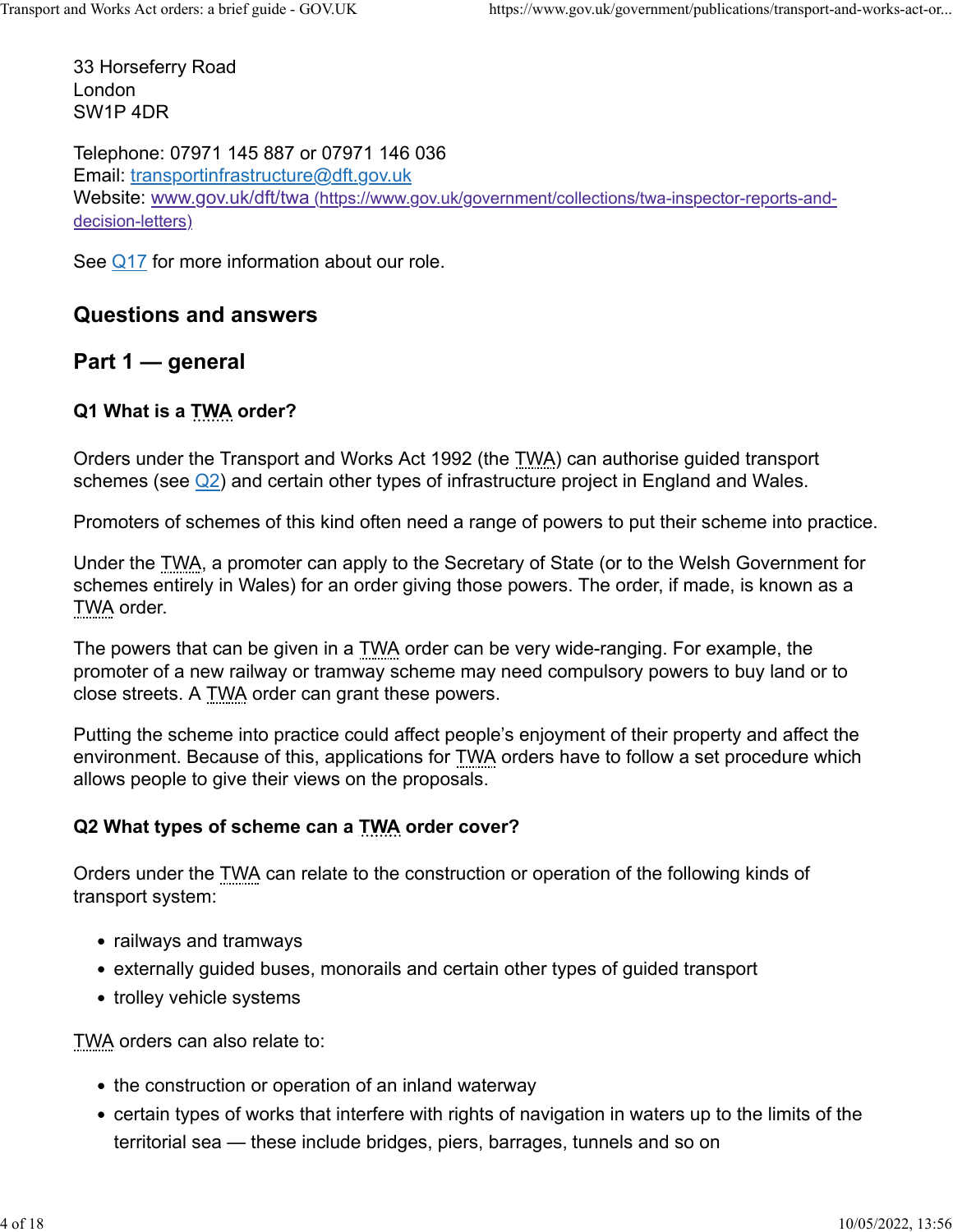33 Horseferry Road London SW1P 4DR

Telephone: 07971 145 887 or 07971 146 036 Email: [transportinfrastructure@dft.gov.uk](mailto:transportinfrastructure@dft.gov.uk) Website: [www.gov.uk/dft/twa \(https://www.gov.uk/government/collections/twa-inspector-reports-and](https://www.gov.uk/government/collections/twa-inspector-reports-and-decision-letters)[decision-letters\)](https://www.gov.uk/government/collections/twa-inspector-reports-and-decision-letters)

See [Q17](https://www.gov.uk/government/publications/transport-and-works-act-orders-a-brief-guide-2006/transport-and-works-act-orders-a-brief-guide#q17-what-is-the-role-of-the-transport-infrastructure-planning-unit) for more information about our role.

# **Questions and answers**

**Part 1 — general**

## **Q1 What is a TWA order?**

Orders under the Transport and Works Act 1992 (the TWA) can authorise guided transport schemes (see  $\mathbb{Q}$ 2) and certain other types of infrastructure project in England and Wales.

Promoters of schemes of this kind often need a range of powers to put their scheme into practice.

Under the TWA, a promoter can apply to the Secretary of State (or to the Welsh Government for schemes entirely in Wales) for an order giving those powers. The order, if made, is known as a TWA order.

The powers that can be given in a TWA order can be very wide-ranging. For example, the promoter of a new railway or tramway scheme may need compulsory powers to buy land or to close streets. A TWA order can grant these powers.

Putting the scheme into practice could affect people's enjoyment of their property and affect the environment. Because of this, applications for TWA orders have to follow a set procedure which allows people to give their views on the proposals.

## **Q2 What types of scheme can a TWA order cover?**

Orders under the TWA can relate to the construction or operation of the following kinds of transport system:

- railways and tramways
- externally guided buses, monorails and certain other types of guided transport
- trolley vehicle systems

TWA orders can also relate to:

- the construction or operation of an inland waterway
- certain types of works that interfere with rights of navigation in waters up to the limits of the territorial sea — these include bridges, piers, barrages, tunnels and so on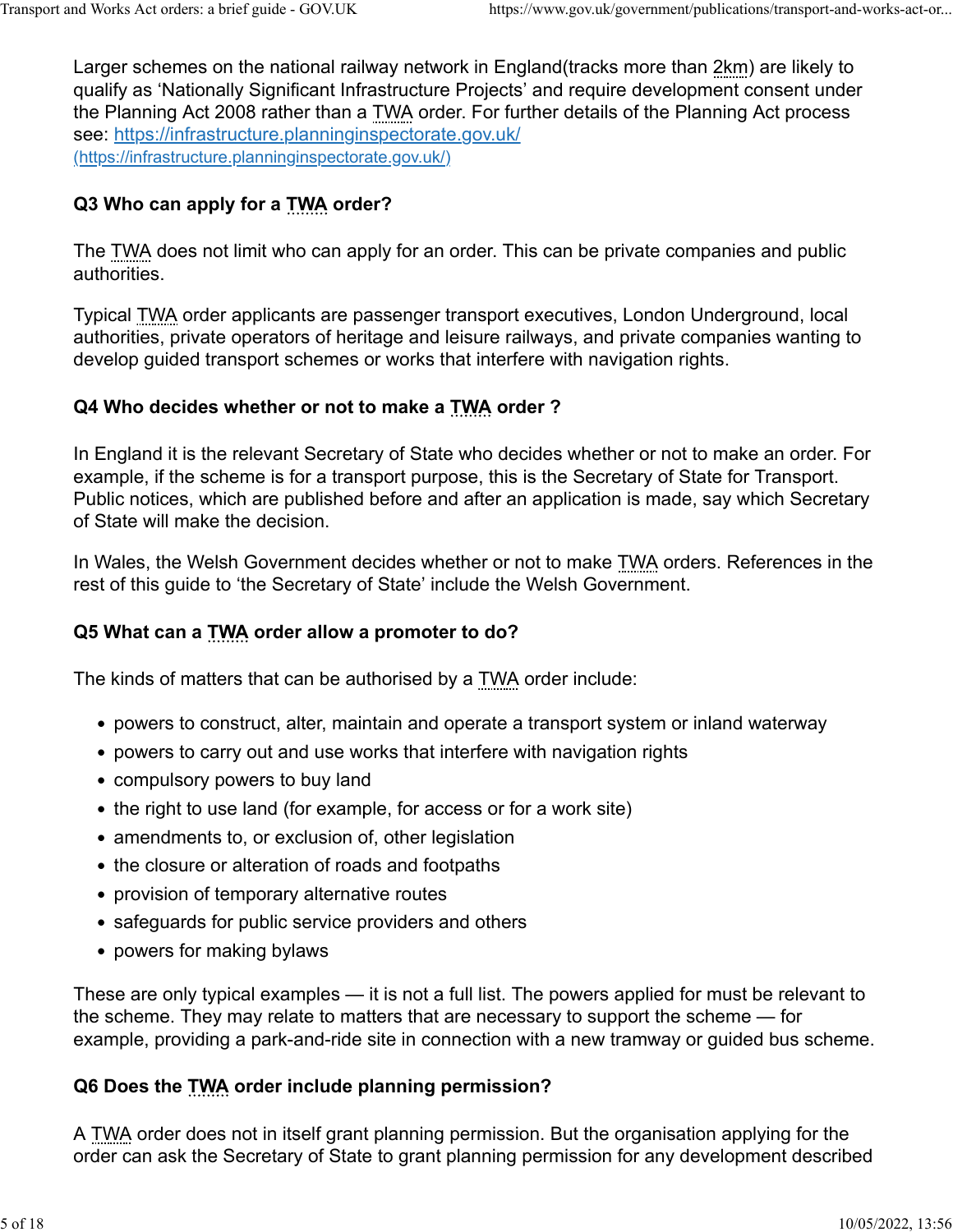Larger schemes on the national railway network in England(tracks more than 2km) are likely to qualify as 'Nationally Significant Infrastructure Projects' and require development consent under the Planning Act 2008 rather than a TWA order. For further details of the Planning Act process see:<https://infrastructure.planninginspectorate.gov.uk/> [\(https://infrastructure.planninginspectorate.gov.uk/\)](https://infrastructure.planninginspectorate.gov.uk/)

# **Q3 Who can apply for a TWA order?**

The TWA does not limit who can apply for an order. This can be private companies and public authorities.

Typical TWA order applicants are passenger transport executives, London Underground, local authorities, private operators of heritage and leisure railways, and private companies wanting to develop guided transport schemes or works that interfere with navigation rights.

# **Q4 Who decides whether or not to make a TWA order ?**

In England it is the relevant Secretary of State who decides whether or not to make an order. For example, if the scheme is for a transport purpose, this is the Secretary of State for Transport. Public notices, which are published before and after an application is made, say which Secretary of State will make the decision.

In Wales, the Welsh Government decides whether or not to make TWA orders. References in the rest of this guide to 'the Secretary of State' include the Welsh Government.

# **Q5 What can a TWA order allow a promoter to do?**

The kinds of matters that can be authorised by a TWA order include:

- powers to construct, alter, maintain and operate a transport system or inland waterway
- powers to carry out and use works that interfere with navigation rights
- compulsory powers to buy land
- the right to use land (for example, for access or for a work site)
- amendments to, or exclusion of, other legislation
- the closure or alteration of roads and footpaths
- provision of temporary alternative routes
- safeguards for public service providers and others
- powers for making bylaws

These are only typical examples — it is not a full list. The powers applied for must be relevant to the scheme. They may relate to matters that are necessary to support the scheme — for example, providing a park-and-ride site in connection with a new tramway or guided bus scheme.

# **Q6 Does the TWA order include planning permission?**

A TWA order does not in itself grant planning permission. But the organisation applying for the order can ask the Secretary of State to grant planning permission for any development described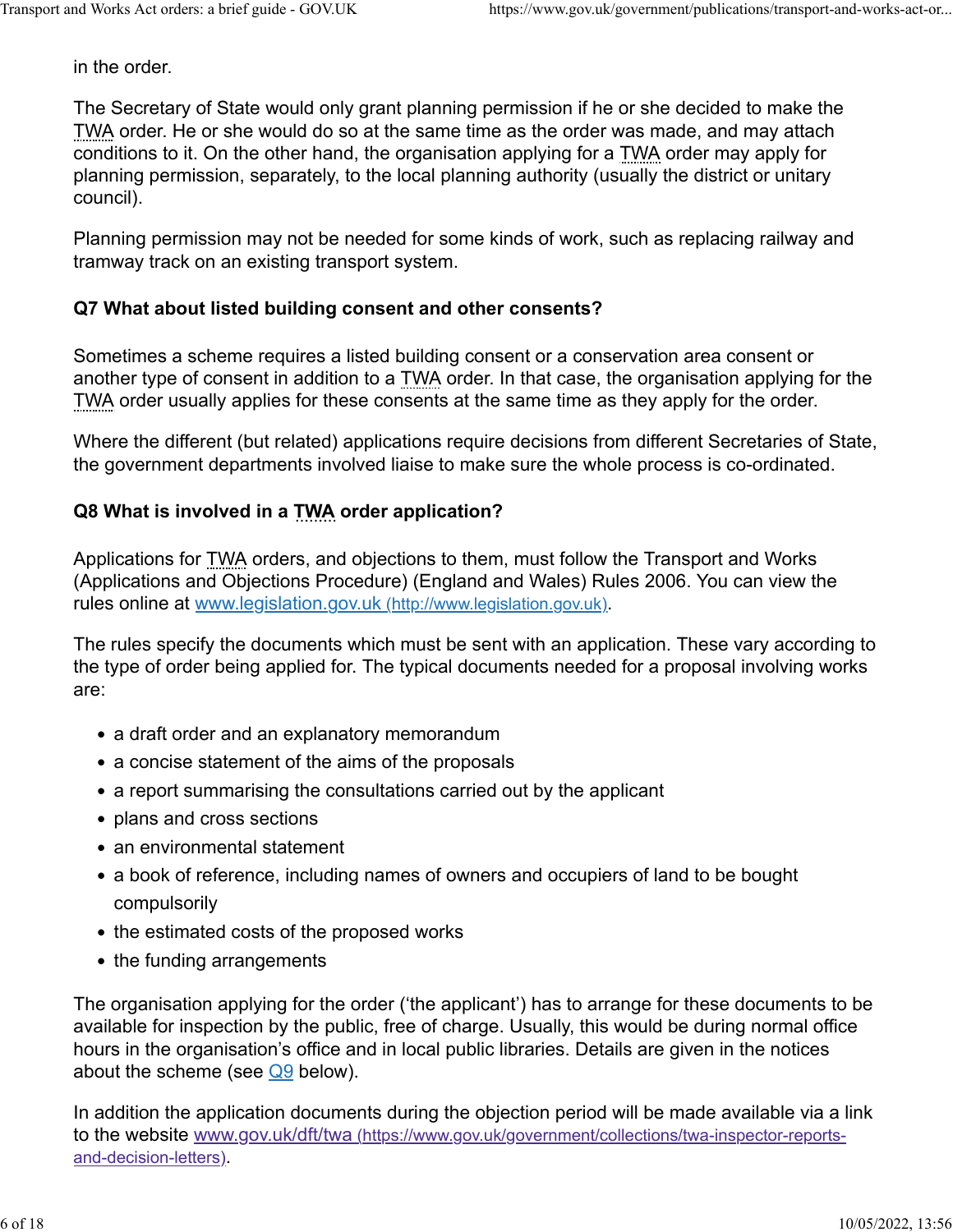in the order.

The Secretary of State would only grant planning permission if he or she decided to make the TWA order. He or she would do so at the same time as the order was made, and may attach conditions to it. On the other hand, the organisation applying for a TWA order may apply for planning permission, separately, to the local planning authority (usually the district or unitary council).

Planning permission may not be needed for some kinds of work, such as replacing railway and tramway track on an existing transport system.

#### **Q7 What about listed building consent and other consents?**

Sometimes a scheme requires a listed building consent or a conservation area consent or another type of consent in addition to a TWA order. In that case, the organisation applying for the TWA order usually applies for these consents at the same time as they apply for the order.

Where the different (but related) applications require decisions from different Secretaries of State, the government departments involved liaise to make sure the whole process is co-ordinated.

#### **Q8 What is involved in a TWA order application?**

Applications for TWA orders, and objections to them, must follow the Transport and Works (Applications and Objections Procedure) (England and Wales) Rules 2006. You can view the rules online at [www.legislation.gov.uk \(http://www.legislation.gov.uk\).](http://www.legislation.gov.uk/)

The rules specify the documents which must be sent with an application. These vary according to the type of order being applied for. The typical documents needed for a proposal involving works are:

- a draft order and an explanatory memorandum
- a concise statement of the aims of the proposals
- a report summarising the consultations carried out by the applicant
- plans and cross sections
- an environmental statement
- a book of reference, including names of owners and occupiers of land to be bought compulsorily
- the estimated costs of the proposed works
- the funding arrangements

The organisation applying for the order ('the applicant') has to arrange for these documents to be available for inspection by the public, free of charge. Usually, this would be during normal office hours in the organisation's office and in local public libraries. Details are given in the notices about the scheme (see  $Q9$  below).

In addition the application documents during the objection period will be made available via a link to the website [www.gov.uk/dft/twa \(https://www.gov.uk/government/collections/twa-inspector-reports](https://www.gov.uk/government/collections/twa-inspector-reports-and-decision-letters)[and-decision-letters\).](https://www.gov.uk/government/collections/twa-inspector-reports-and-decision-letters)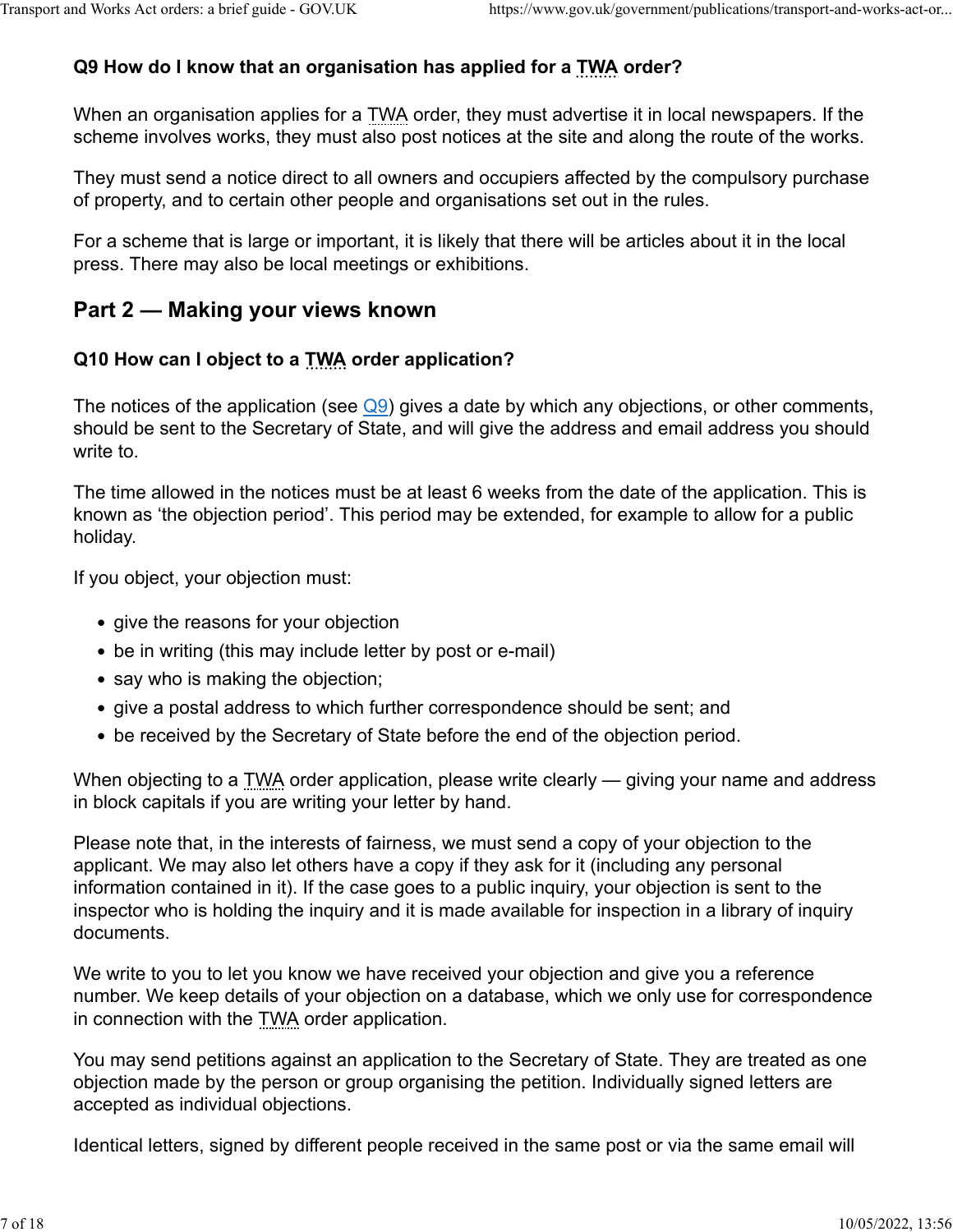## **Q9 How do I know that an organisation has applied for a TWA order?**

When an organisation applies for a TWA order, they must advertise it in local newspapers. If the scheme involves works, they must also post notices at the site and along the route of the works.

They must send a notice direct to all owners and occupiers affected by the compulsory purchase of property, and to certain other people and organisations set out in the rules.

For a scheme that is large or important, it is likely that there will be articles about it in the local press. There may also be local meetings or exhibitions.

# **Part 2 — Making your views known**

## **Q10 How can I object to a TWA order application?**

The notices of the application (see  $\overline{Q9}$ ) gives a date by which any objections, or other comments, should be sent to the Secretary of State, and will give the address and email address you should write to.

The time allowed in the notices must be at least 6 weeks from the date of the application. This is known as 'the objection period'. This period may be extended, for example to allow for a public holiday.

If you object, your objection must:

- give the reasons for your objection
- be in writing (this may include letter by post or e-mail)
- say who is making the objection;
- give a postal address to which further correspondence should be sent; and
- be received by the Secretary of State before the end of the objection period.

When objecting to a TWA order application, please write clearly — giving your name and address in block capitals if you are writing your letter by hand.

Please note that, in the interests of fairness, we must send a copy of your objection to the applicant. We may also let others have a copy if they ask for it (including any personal information contained in it). If the case goes to a public inquiry, your objection is sent to the inspector who is holding the inquiry and it is made available for inspection in a library of inquiry documents.

We write to you to let you know we have received your objection and give you a reference number. We keep details of your objection on a database, which we only use for correspondence in connection with the TWA order application.

You may send petitions against an application to the Secretary of State. They are treated as one objection made by the person or group organising the petition. Individually signed letters are accepted as individual objections.

Identical letters, signed by different people received in the same post or via the same email will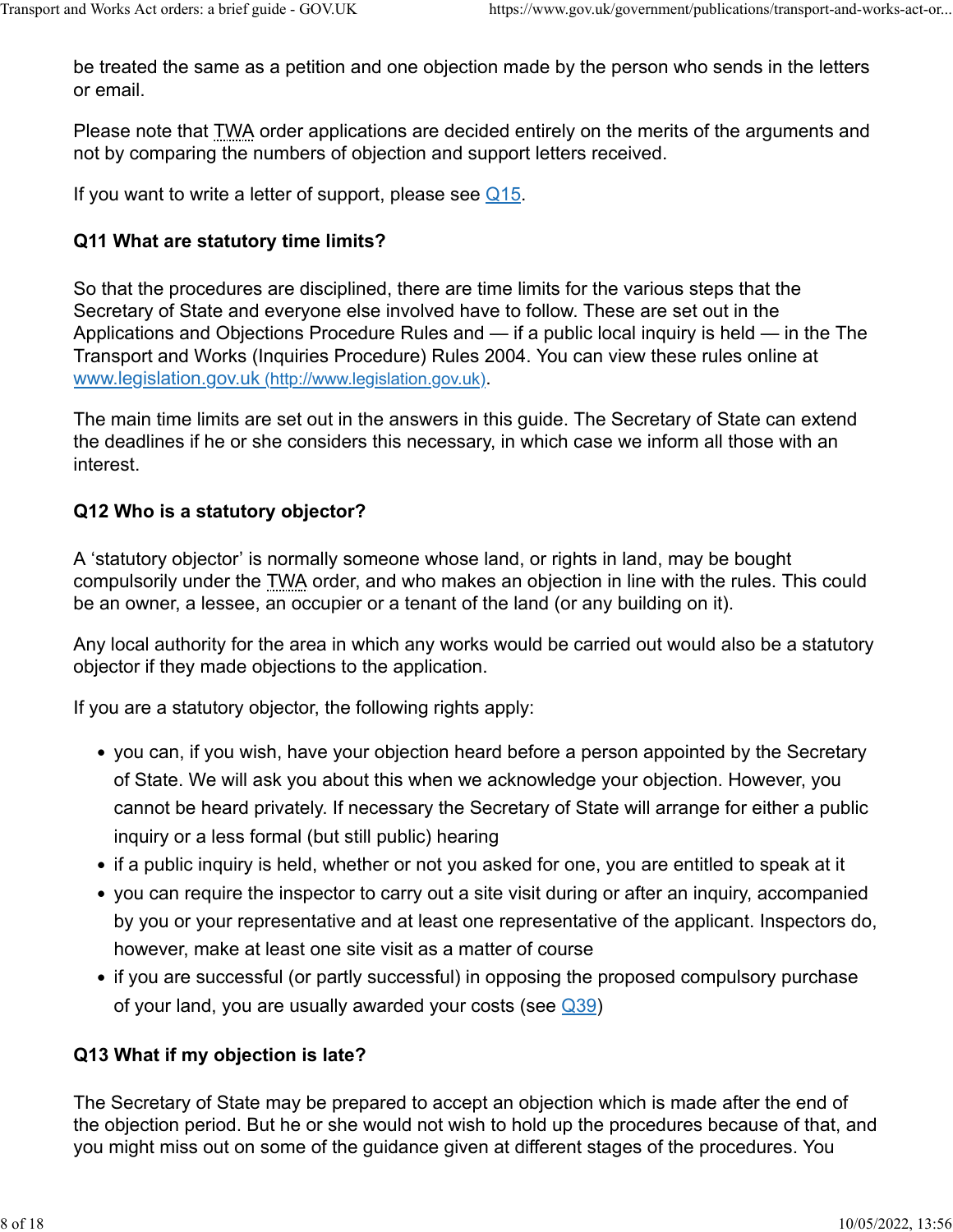be treated the same as a petition and one objection made by the person who sends in the letters or email.

Please note that TWA order applications are decided entirely on the merits of the arguments and not by comparing the numbers of objection and support letters received.

If you want to write a letter of support, please see  $\overline{Q15}$ .

#### **Q11 What are statutory time limits?**

So that the procedures are disciplined, there are time limits for the various steps that the Secretary of State and everyone else involved have to follow. These are set out in the Applications and Objections Procedure Rules and — if a public local inquiry is held — in the The Transport and Works (Inquiries Procedure) Rules 2004. You can view these rules online at [www.legislation.gov.uk \(http://www.legislation.gov.uk\).](http://www.legislation.gov.uk/)

The main time limits are set out in the answers in this guide. The Secretary of State can extend the deadlines if he or she considers this necessary, in which case we inform all those with an interest.

#### **Q12 Who is a statutory objector?**

A 'statutory objector' is normally someone whose land, or rights in land, may be bought compulsorily under the TWA order, and who makes an objection in line with the rules. This could be an owner, a lessee, an occupier or a tenant of the land (or any building on it).

Any local authority for the area in which any works would be carried out would also be a statutory objector if they made objections to the application.

If you are a statutory objector, the following rights apply:

- you can, if you wish, have your objection heard before a person appointed by the Secretary of State. We will ask you about this when we acknowledge your objection. However, you cannot be heard privately. If necessary the Secretary of State will arrange for either a public inquiry or a less formal (but still public) hearing
- if a public inquiry is held, whether or not you asked for one, you are entitled to speak at it
- you can require the inspector to carry out a site visit during or after an inquiry, accompanied by you or your representative and at least one representative of the applicant. Inspectors do, however, make at least one site visit as a matter of course
- if you are successful (or partly successful) in opposing the proposed compulsory purchase of your land, you are usually awarded your costs (see [Q39\)](https://www.gov.uk/government/publications/transport-and-works-act-orders-a-brief-guide-2006/transport-and-works-act-orders-a-brief-guide#q39-what-is-the-decision-stage)

#### **Q13 What if my objection is late?**

The Secretary of State may be prepared to accept an objection which is made after the end of the objection period. But he or she would not wish to hold up the procedures because of that, and you might miss out on some of the guidance given at different stages of the procedures. You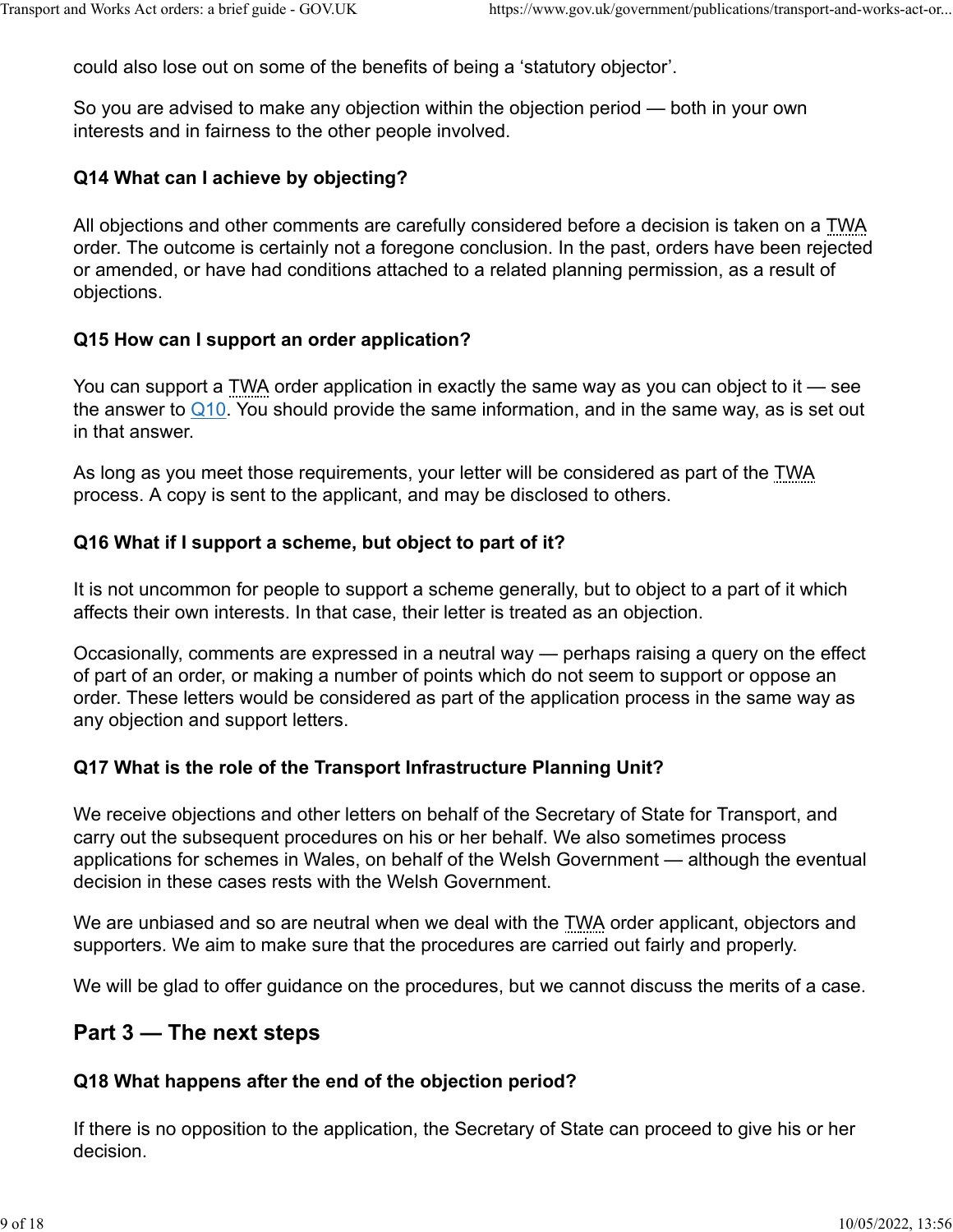could also lose out on some of the benefits of being a 'statutory objector'.

So you are advised to make any objection within the objection period — both in your own interests and in fairness to the other people involved.

#### **Q14 What can I achieve by objecting?**

All objections and other comments are carefully considered before a decision is taken on a TWA order. The outcome is certainly not a foregone conclusion. In the past, orders have been rejected or amended, or have had conditions attached to a related planning permission, as a result of objections.

#### **Q15 How can I support an order application?**

You can support a TWA order application in exactly the same way as you can object to it — see the answer to  $Q10$ . You should provide the same information, and in the same way, as is set out in that answer.

As long as you meet those requirements, your letter will be considered as part of the TWA process. A copy is sent to the applicant, and may be disclosed to others.

#### **Q16 What if I support a scheme, but object to part of it?**

It is not uncommon for people to support a scheme generally, but to object to a part of it which affects their own interests. In that case, their letter is treated as an objection.

Occasionally, comments are expressed in a neutral way — perhaps raising a query on the effect of part of an order, or making a number of points which do not seem to support or oppose an order. These letters would be considered as part of the application process in the same way as any objection and support letters.

## **Q17 What is the role of the Transport Infrastructure Planning Unit?**

We receive objections and other letters on behalf of the Secretary of State for Transport, and carry out the subsequent procedures on his or her behalf. We also sometimes process applications for schemes in Wales, on behalf of the Welsh Government — although the eventual decision in these cases rests with the Welsh Government.

We are unbiased and so are neutral when we deal with the TWA order applicant, objectors and supporters. We aim to make sure that the procedures are carried out fairly and properly.

We will be glad to offer guidance on the procedures, but we cannot discuss the merits of a case.

## **Part 3 — The next steps**

#### **Q18 What happens after the end of the objection period?**

If there is no opposition to the application, the Secretary of State can proceed to give his or her decision.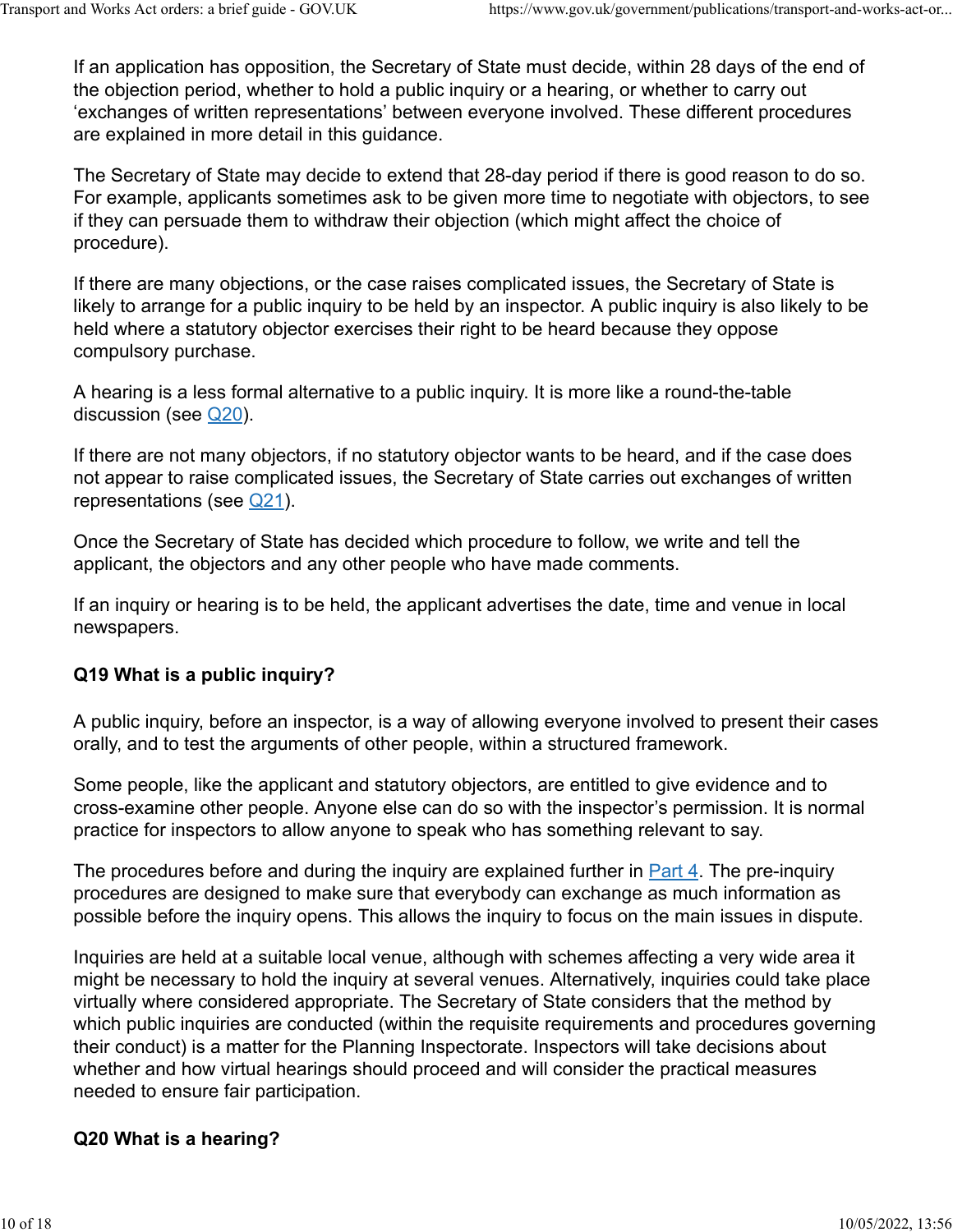If an application has opposition, the Secretary of State must decide, within 28 days of the end of the objection period, whether to hold a public inquiry or a hearing, or whether to carry out 'exchanges of written representations' between everyone involved. These different procedures are explained in more detail in this guidance.

The Secretary of State may decide to extend that 28-day period if there is good reason to do so. For example, applicants sometimes ask to be given more time to negotiate with objectors, to see if they can persuade them to withdraw their objection (which might affect the choice of procedure).

If there are many objections, or the case raises complicated issues, the Secretary of State is likely to arrange for a public inquiry to be held by an inspector. A public inquiry is also likely to be held where a statutory objector exercises their right to be heard because they oppose compulsory purchase.

A hearing is a less formal alternative to a public inquiry. It is more like a round-the-table discussion (see [Q20\)](https://www.gov.uk/government/publications/transport-and-works-act-orders-a-brief-guide-2006/transport-and-works-act-orders-a-brief-guide#q20-what-is-a-hearing).

If there are not many objectors, if no statutory objector wants to be heard, and if the case does not appear to raise complicated issues, the Secretary of State carries out exchanges of written representations (see [Q21\)](https://www.gov.uk/government/publications/transport-and-works-act-orders-a-brief-guide-2006/transport-and-works-act-orders-a-brief-guide#q21-what-are-written-representations).

Once the Secretary of State has decided which procedure to follow, we write and tell the applicant, the objectors and any other people who have made comments.

If an inquiry or hearing is to be held, the applicant advertises the date, time and venue in local newspapers.

#### **Q19 What is a public inquiry?**

A public inquiry, before an inspector, is a way of allowing everyone involved to present their cases orally, and to test the arguments of other people, within a structured framework.

Some people, like the applicant and statutory objectors, are entitled to give evidence and to cross-examine other people. Anyone else can do so with the inspector's permission. It is normal practice for inspectors to allow anyone to speak who has something relevant to say.

The procedures before and during the inquiry are explained further in **Part 4.** The pre-inquiry procedures are designed to make sure that everybody can exchange as much information as possible before the inquiry opens. This allows the inquiry to focus on the main issues in dispute.

Inquiries are held at a suitable local venue, although with schemes affecting a very wide area it might be necessary to hold the inquiry at several venues. Alternatively, inquiries could take place virtually where considered appropriate. The Secretary of State considers that the method by which public inquiries are conducted (within the requisite requirements and procedures governing their conduct) is a matter for the Planning Inspectorate. Inspectors will take decisions about whether and how virtual hearings should proceed and will consider the practical measures needed to ensure fair participation.

#### **Q20 What is a hearing?**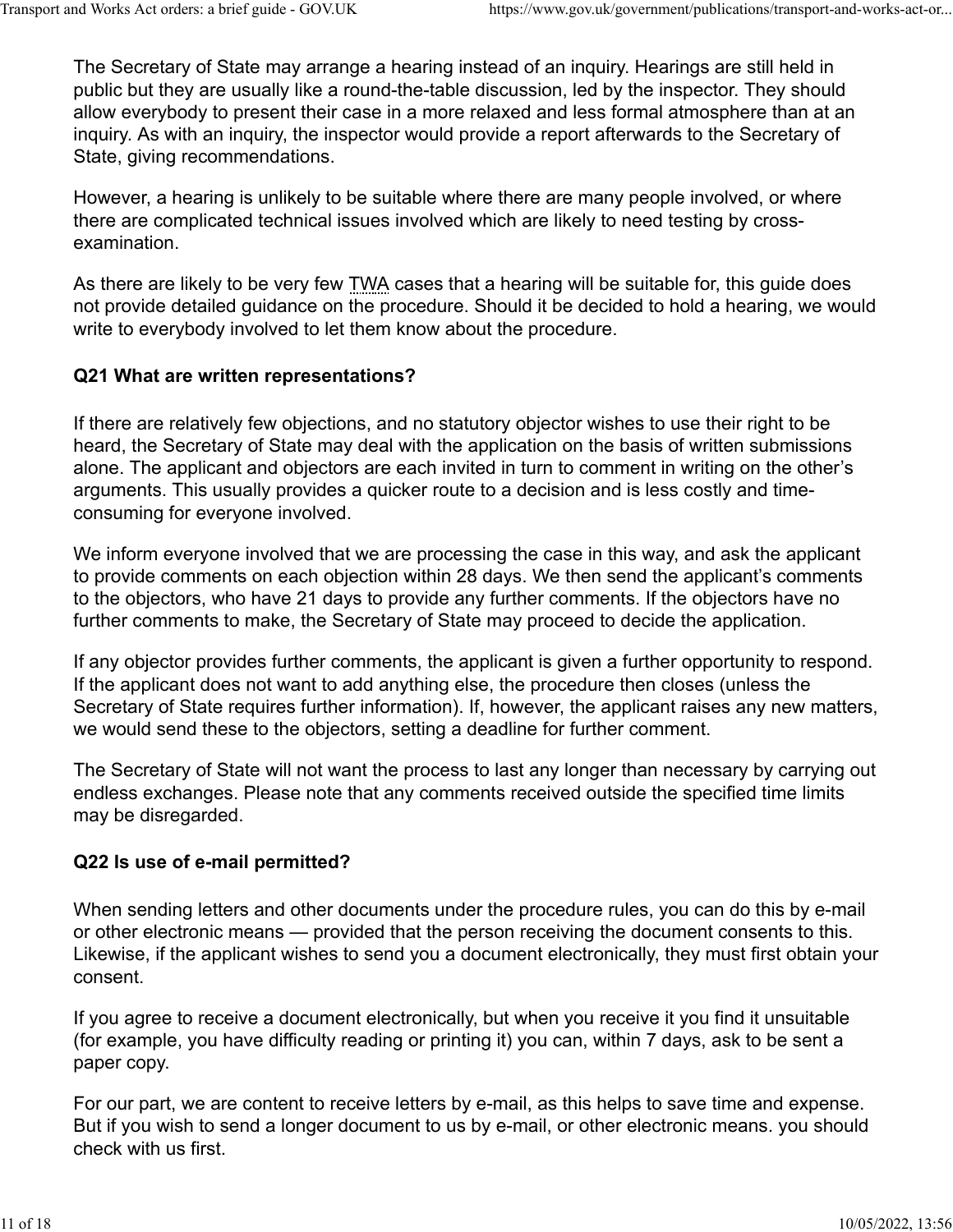The Secretary of State may arrange a hearing instead of an inquiry. Hearings are still held in public but they are usually like a round-the-table discussion, led by the inspector. They should allow everybody to present their case in a more relaxed and less formal atmosphere than at an inquiry. As with an inquiry, the inspector would provide a report afterwards to the Secretary of State, giving recommendations.

However, a hearing is unlikely to be suitable where there are many people involved, or where there are complicated technical issues involved which are likely to need testing by crossexamination.

As there are likely to be very few TWA cases that a hearing will be suitable for, this guide does not provide detailed guidance on the procedure. Should it be decided to hold a hearing, we would write to everybody involved to let them know about the procedure.

## **Q21 What are written representations?**

If there are relatively few objections, and no statutory objector wishes to use their right to be heard, the Secretary of State may deal with the application on the basis of written submissions alone. The applicant and objectors are each invited in turn to comment in writing on the other's arguments. This usually provides a quicker route to a decision and is less costly and timeconsuming for everyone involved.

We inform everyone involved that we are processing the case in this way, and ask the applicant to provide comments on each objection within 28 days. We then send the applicant's comments to the objectors, who have 21 days to provide any further comments. If the objectors have no further comments to make, the Secretary of State may proceed to decide the application.

If any objector provides further comments, the applicant is given a further opportunity to respond. If the applicant does not want to add anything else, the procedure then closes (unless the Secretary of State requires further information). If, however, the applicant raises any new matters, we would send these to the objectors, setting a deadline for further comment.

The Secretary of State will not want the process to last any longer than necessary by carrying out endless exchanges. Please note that any comments received outside the specified time limits may be disregarded.

## **Q22 Is use of e-mail permitted?**

When sending letters and other documents under the procedure rules, you can do this by e-mail or other electronic means — provided that the person receiving the document consents to this. Likewise, if the applicant wishes to send you a document electronically, they must first obtain your consent.

If you agree to receive a document electronically, but when you receive it you find it unsuitable (for example, you have difficulty reading or printing it) you can, within 7 days, ask to be sent a paper copy.

For our part, we are content to receive letters by e-mail, as this helps to save time and expense. But if you wish to send a longer document to us by e-mail, or other electronic means. you should check with us first.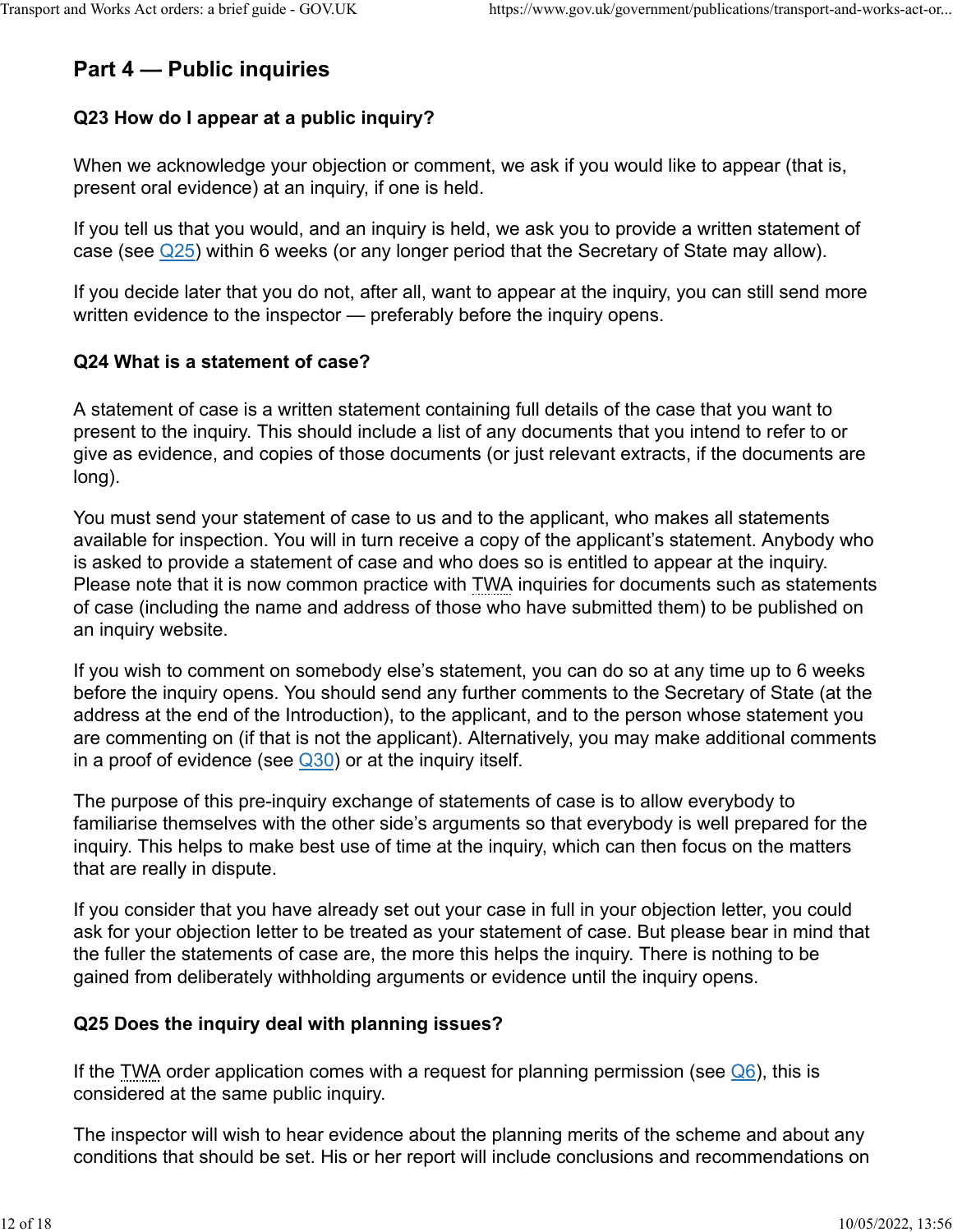# **Part 4 — Public inquiries**

## **Q23 How do I appear at a public inquiry?**

When we acknowledge your objection or comment, we ask if you would like to appear (that is, present oral evidence) at an inquiry, if one is held.

If you tell us that you would, and an inquiry is held, we ask you to provide a written statement of case (see  $\mathbb{Q}25$ ) within 6 weeks (or any longer period that the Secretary of State may allow).

If you decide later that you do not, after all, want to appear at the inquiry, you can still send more written evidence to the inspector — preferably before the inquiry opens.

#### **Q24 What is a statement of case?**

A statement of case is a written statement containing full details of the case that you want to present to the inquiry. This should include a list of any documents that you intend to refer to or give as evidence, and copies of those documents (or just relevant extracts, if the documents are long).

You must send your statement of case to us and to the applicant, who makes all statements available for inspection. You will in turn receive a copy of the applicant's statement. Anybody who is asked to provide a statement of case and who does so is entitled to appear at the inquiry. Please note that it is now common practice with TWA inquiries for documents such as statements of case (including the name and address of those who have submitted them) to be published on an inquiry website.

If you wish to comment on somebody else's statement, you can do so at any time up to 6 weeks before the inquiry opens. You should send any further comments to the Secretary of State (at the address at the end of the Introduction), to the applicant, and to the person whose statement you are commenting on (if that is not the applicant). Alternatively, you may make additional comments in a proof of evidence (see  $\sqrt{30}$ ) or at the inquiry itself.

The purpose of this pre-inquiry exchange of statements of case is to allow everybody to familiarise themselves with the other side's arguments so that everybody is well prepared for the inquiry. This helps to make best use of time at the inquiry, which can then focus on the matters that are really in dispute.

If you consider that you have already set out your case in full in your objection letter, you could ask for your objection letter to be treated as your statement of case. But please bear in mind that the fuller the statements of case are, the more this helps the inquiry. There is nothing to be gained from deliberately withholding arguments or evidence until the inquiry opens.

## **Q25 Does the inquiry deal with planning issues?**

If the TWA order application comes with a request for planning permission (see  $\mathbb{Q}_6$ ), this is considered at the same public inquiry.

The inspector will wish to hear evidence about the planning merits of the scheme and about any conditions that should be set. His or her report will include conclusions and recommendations on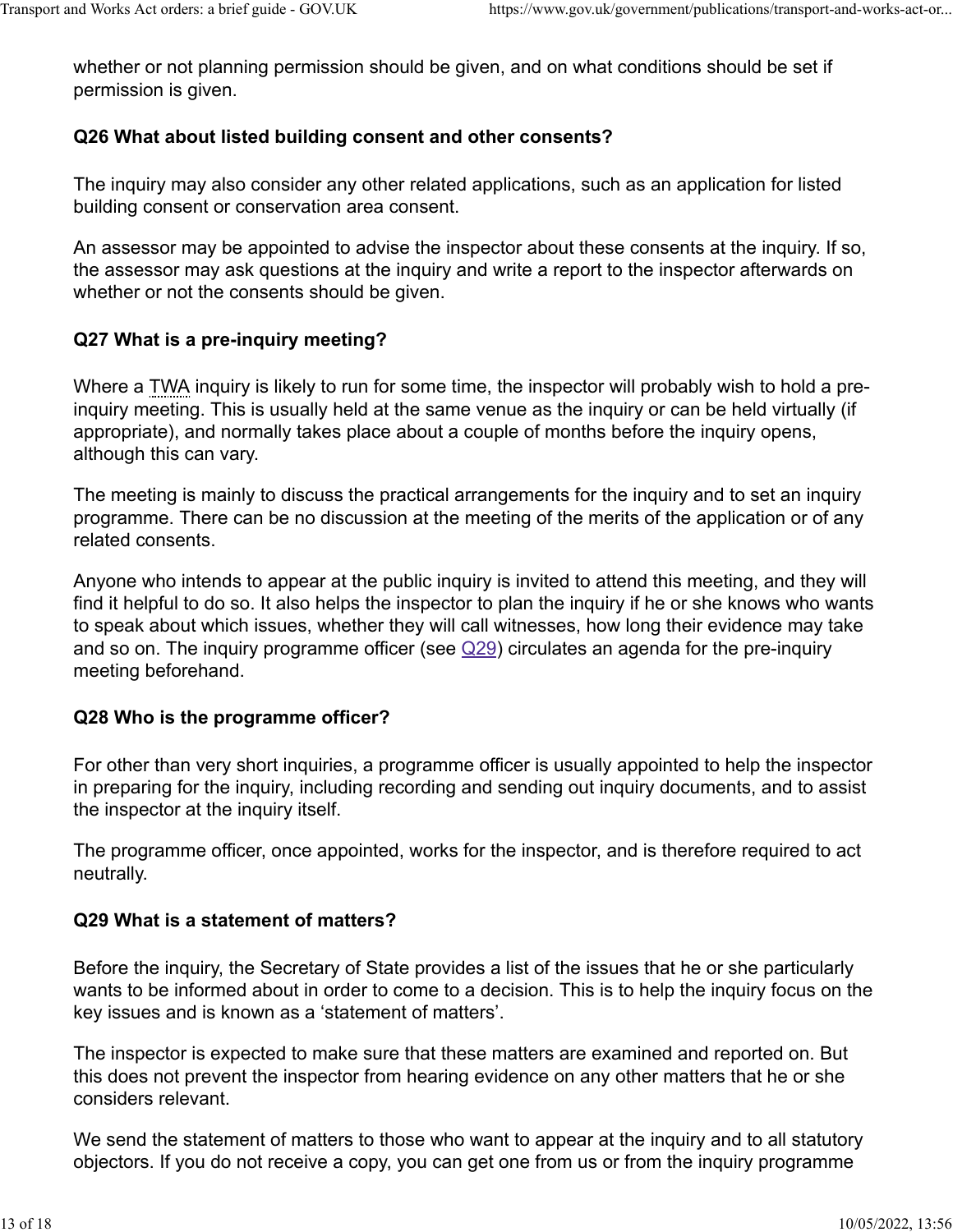whether or not planning permission should be given, and on what conditions should be set if permission is given.

## **Q26 What about listed building consent and other consents?**

The inquiry may also consider any other related applications, such as an application for listed building consent or conservation area consent.

An assessor may be appointed to advise the inspector about these consents at the inquiry. If so, the assessor may ask questions at the inquiry and write a report to the inspector afterwards on whether or not the consents should be given.

## **Q27 What is a pre-inquiry meeting?**

Where a TWA inquiry is likely to run for some time, the inspector will probably wish to hold a preinquiry meeting. This is usually held at the same venue as the inquiry or can be held virtually (if appropriate), and normally takes place about a couple of months before the inquiry opens, although this can vary.

The meeting is mainly to discuss the practical arrangements for the inquiry and to set an inquiry programme. There can be no discussion at the meeting of the merits of the application or of any related consents.

Anyone who intends to appear at the public inquiry is invited to attend this meeting, and they will find it helpful to do so. It also helps the inspector to plan the inquiry if he or she knows who wants to speak about which issues, whether they will call witnesses, how long their evidence may take and so on. The inquiry programme officer (see  $\mathbb{Q}29$ ) circulates an agenda for the pre-inquiry meeting beforehand.

## **Q28 Who is the programme officer?**

For other than very short inquiries, a programme officer is usually appointed to help the inspector in preparing for the inquiry, including recording and sending out inquiry documents, and to assist the inspector at the inquiry itself.

The programme officer, once appointed, works for the inspector, and is therefore required to act neutrally.

## **Q29 What is a statement of matters?**

Before the inquiry, the Secretary of State provides a list of the issues that he or she particularly wants to be informed about in order to come to a decision. This is to help the inquiry focus on the key issues and is known as a 'statement of matters'.

The inspector is expected to make sure that these matters are examined and reported on. But this does not prevent the inspector from hearing evidence on any other matters that he or she considers relevant.

We send the statement of matters to those who want to appear at the inquiry and to all statutory objectors. If you do not receive a copy, you can get one from us or from the inquiry programme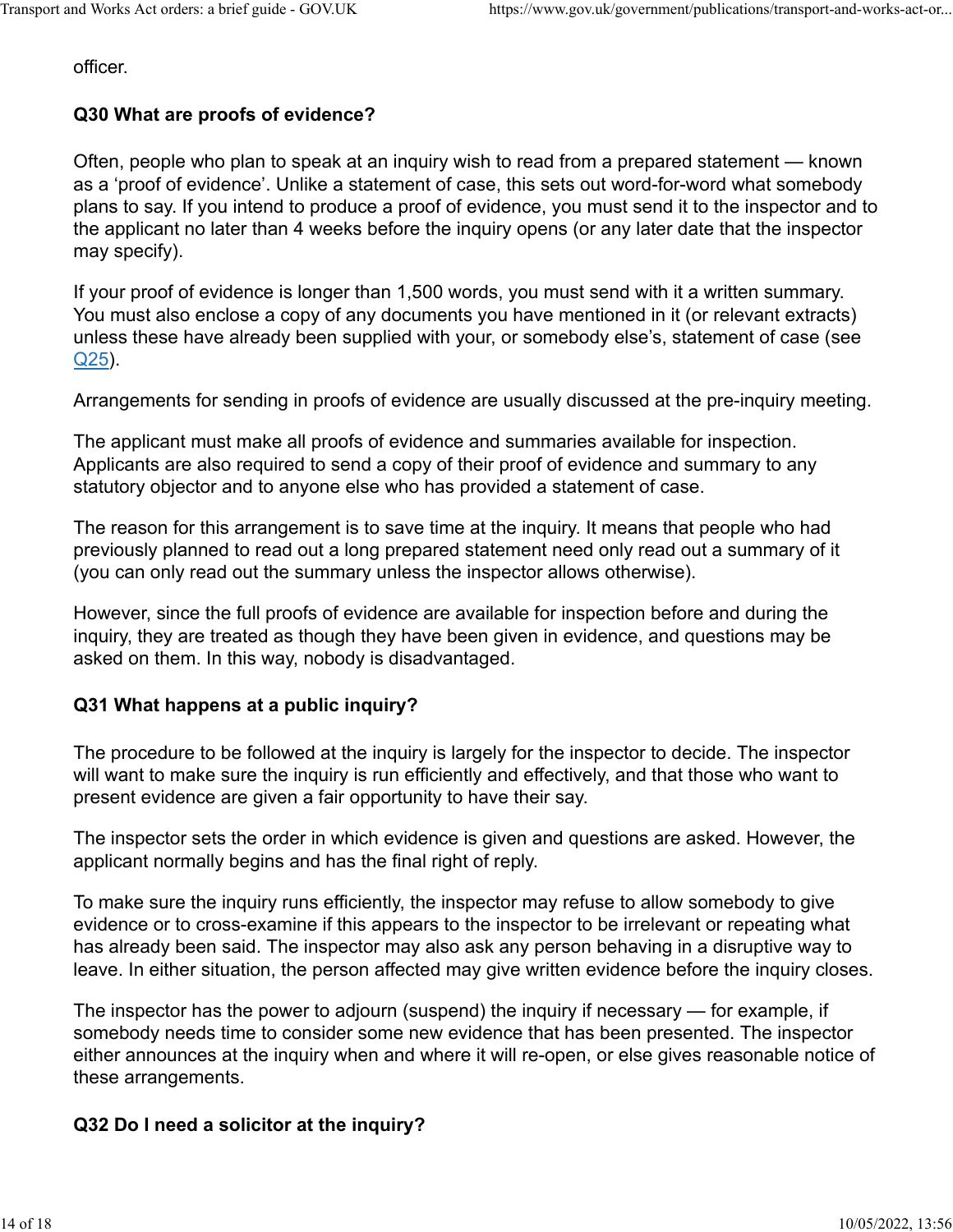officer.

#### **Q30 What are proofs of evidence?**

Often, people who plan to speak at an inquiry wish to read from a prepared statement — known as a 'proof of evidence'. Unlike a statement of case, this sets out word-for-word what somebody plans to say. If you intend to produce a proof of evidence, you must send it to the inspector and to the applicant no later than 4 weeks before the inquiry opens (or any later date that the inspector may specify).

If your proof of evidence is longer than 1,500 words, you must send with it a written summary. You must also enclose a copy of any documents you have mentioned in it (or relevant extracts) unless these have already been supplied with your, or somebody else's, statement of case (see [Q25\)](https://www.gov.uk/government/publications/transport-and-works-act-orders-a-brief-guide-2006/transport-and-works-act-orders-a-brief-guide#q25-does-the-inquiry-deal-with-planning-issues).

Arrangements for sending in proofs of evidence are usually discussed at the pre-inquiry meeting.

The applicant must make all proofs of evidence and summaries available for inspection. Applicants are also required to send a copy of their proof of evidence and summary to any statutory objector and to anyone else who has provided a statement of case.

The reason for this arrangement is to save time at the inquiry. It means that people who had previously planned to read out a long prepared statement need only read out a summary of it (you can only read out the summary unless the inspector allows otherwise).

However, since the full proofs of evidence are available for inspection before and during the inquiry, they are treated as though they have been given in evidence, and questions may be asked on them. In this way, nobody is disadvantaged.

#### **Q31 What happens at a public inquiry?**

The procedure to be followed at the inquiry is largely for the inspector to decide. The inspector will want to make sure the inquiry is run efficiently and effectively, and that those who want to present evidence are given a fair opportunity to have their say.

The inspector sets the order in which evidence is given and questions are asked. However, the applicant normally begins and has the final right of reply.

To make sure the inquiry runs efficiently, the inspector may refuse to allow somebody to give evidence or to cross-examine if this appears to the inspector to be irrelevant or repeating what has already been said. The inspector may also ask any person behaving in a disruptive way to leave. In either situation, the person affected may give written evidence before the inquiry closes.

The inspector has the power to adjourn (suspend) the inquiry if necessary — for example, if somebody needs time to consider some new evidence that has been presented. The inspector either announces at the inquiry when and where it will re-open, or else gives reasonable notice of these arrangements.

#### **Q32 Do I need a solicitor at the inquiry?**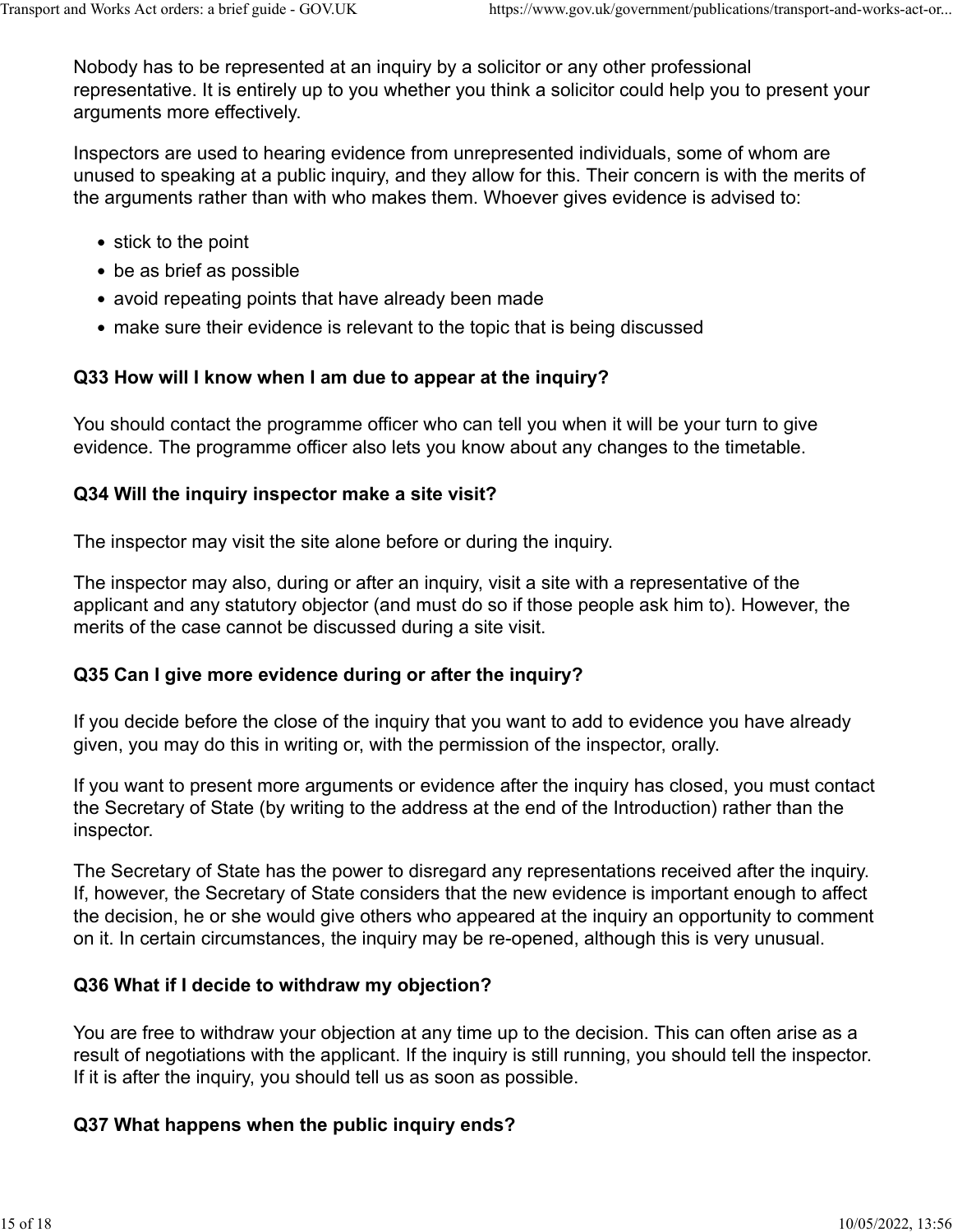Nobody has to be represented at an inquiry by a solicitor or any other professional representative. It is entirely up to you whether you think a solicitor could help you to present your arguments more effectively.

Inspectors are used to hearing evidence from unrepresented individuals, some of whom are unused to speaking at a public inquiry, and they allow for this. Their concern is with the merits of the arguments rather than with who makes them. Whoever gives evidence is advised to:

- stick to the point
- be as brief as possible
- avoid repeating points that have already been made
- make sure their evidence is relevant to the topic that is being discussed

## **Q33 How will I know when I am due to appear at the inquiry?**

You should contact the programme officer who can tell you when it will be your turn to give evidence. The programme officer also lets you know about any changes to the timetable.

## **Q34 Will the inquiry inspector make a site visit?**

The inspector may visit the site alone before or during the inquiry.

The inspector may also, during or after an inquiry, visit a site with a representative of the applicant and any statutory objector (and must do so if those people ask him to). However, the merits of the case cannot be discussed during a site visit.

## **Q35 Can I give more evidence during or after the inquiry?**

If you decide before the close of the inquiry that you want to add to evidence you have already given, you may do this in writing or, with the permission of the inspector, orally.

If you want to present more arguments or evidence after the inquiry has closed, you must contact the Secretary of State (by writing to the address at the end of the Introduction) rather than the inspector.

The Secretary of State has the power to disregard any representations received after the inquiry. If, however, the Secretary of State considers that the new evidence is important enough to affect the decision, he or she would give others who appeared at the inquiry an opportunity to comment on it. In certain circumstances, the inquiry may be re-opened, although this is very unusual.

# **Q36 What if I decide to withdraw my objection?**

You are free to withdraw your objection at any time up to the decision. This can often arise as a result of negotiations with the applicant. If the inquiry is still running, you should tell the inspector. If it is after the inquiry, you should tell us as soon as possible.

# **Q37 What happens when the public inquiry ends?**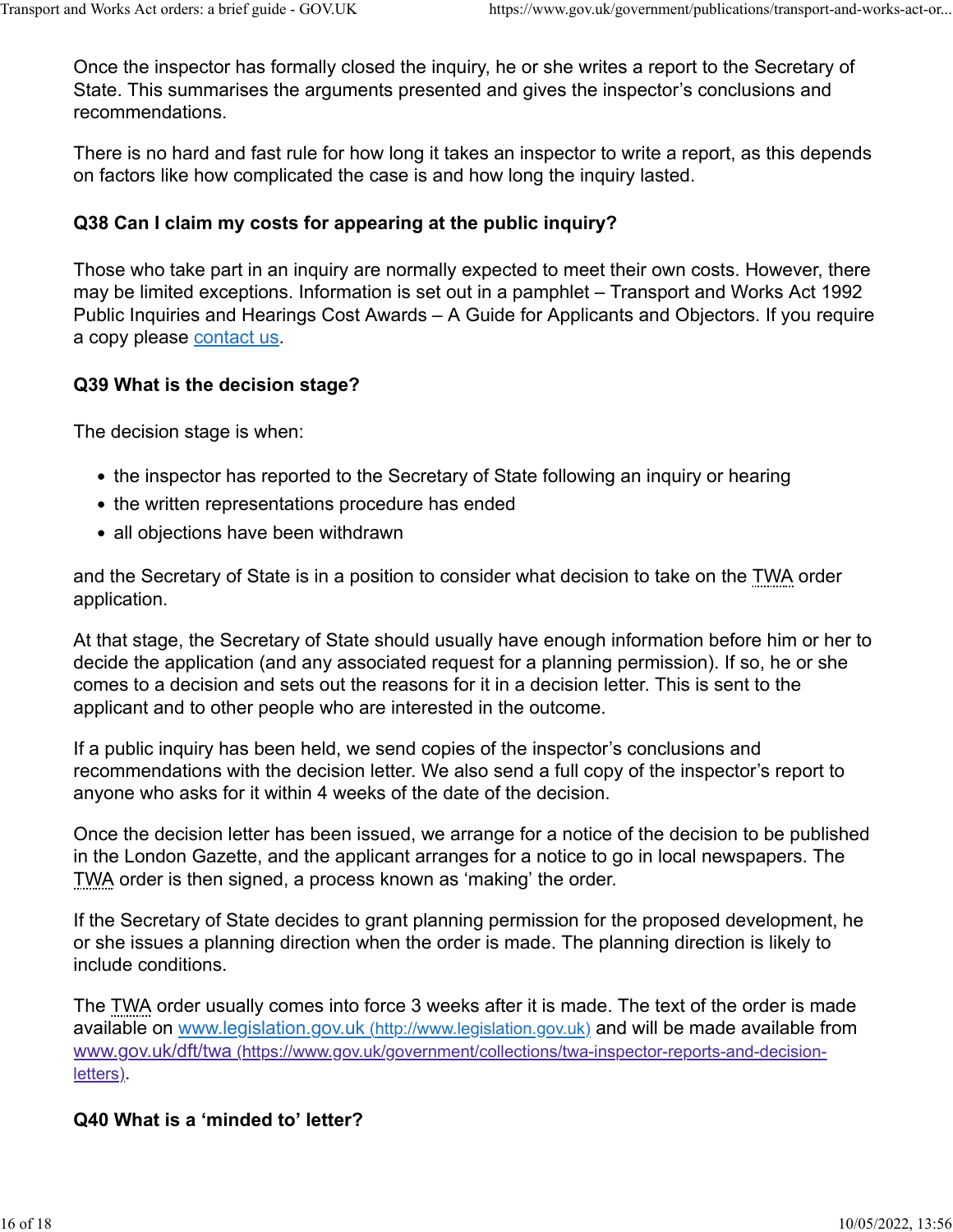Once the inspector has formally closed the inquiry, he or she writes a report to the Secretary of State. This summarises the arguments presented and gives the inspector's conclusions and recommendations.

There is no hard and fast rule for how long it takes an inspector to write a report, as this depends on factors like how complicated the case is and how long the inquiry lasted.

## **Q38 Can I claim my costs for appearing at the public inquiry?**

Those who take part in an inquiry are normally expected to meet their own costs. However, there may be limited exceptions. Information is set out in a pamphlet – Transport and Works Act 1992 Public Inquiries and Hearings Cost Awards – A Guide for Applicants and Objectors. If you require a copy please [contact us.](https://www.gov.uk/government/publications/transport-and-works-act-orders-a-brief-guide-2006/transport-and-works-act-orders-a-brief-guide#who-are-we)

## **Q39 What is the decision stage?**

The decision stage is when:

- the inspector has reported to the Secretary of State following an inquiry or hearing
- the written representations procedure has ended
- all objections have been withdrawn

and the Secretary of State is in a position to consider what decision to take on the TWA order application.

At that stage, the Secretary of State should usually have enough information before him or her to decide the application (and any associated request for a planning permission). If so, he or she comes to a decision and sets out the reasons for it in a decision letter. This is sent to the applicant and to other people who are interested in the outcome.

If a public inquiry has been held, we send copies of the inspector's conclusions and recommendations with the decision letter. We also send a full copy of the inspector's report to anyone who asks for it within 4 weeks of the date of the decision.

Once the decision letter has been issued, we arrange for a notice of the decision to be published in the London Gazette, and the applicant arranges for a notice to go in local newspapers. The TWA order is then signed, a process known as 'making' the order.

If the Secretary of State decides to grant planning permission for the proposed development, he or she issues a planning direction when the order is made. The planning direction is likely to include conditions.

The TWA order usually comes into force 3 weeks after it is made. The text of the order is made available on [www.legislation.gov.uk \(http://www.legislation.gov.uk\)](http://www.legislation.gov.uk/) and will be made available from [www.gov.uk/dft/twa \(https://www.gov.uk/government/collections/twa-inspector-reports-and-decision](https://www.gov.uk/government/collections/twa-inspector-reports-and-decision-letters)[letters\).](https://www.gov.uk/government/collections/twa-inspector-reports-and-decision-letters)

## **Q40 What is a 'minded to' letter?**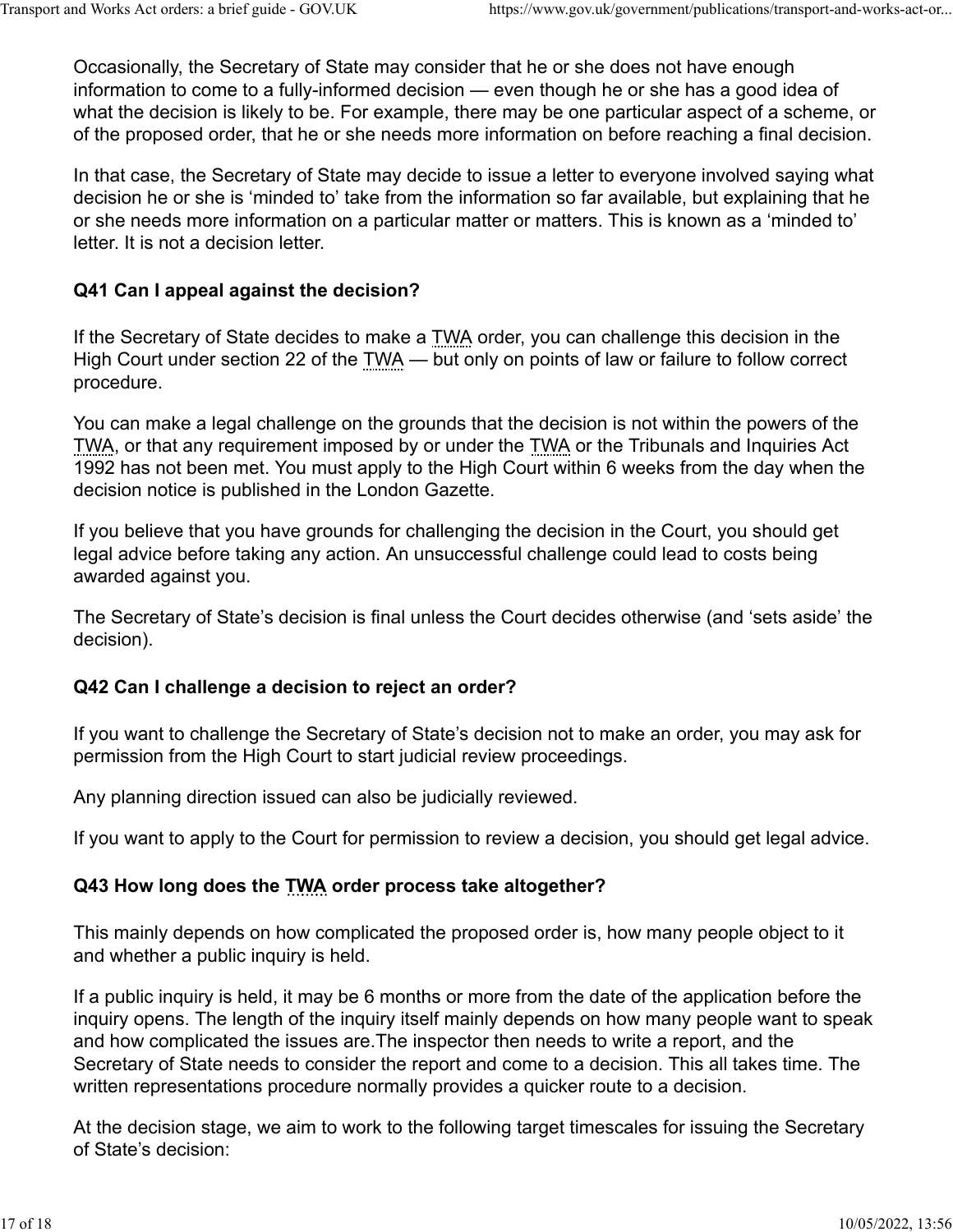Occasionally, the Secretary of State may consider that he or she does not have enough information to come to a fully-informed decision — even though he or she has a good idea of what the decision is likely to be. For example, there may be one particular aspect of a scheme, or of the proposed order, that he or she needs more information on before reaching a final decision.

In that case, the Secretary of State may decide to issue a letter to everyone involved saying what decision he or she is 'minded to' take from the information so far available, but explaining that he or she needs more information on a particular matter or matters. This is known as a 'minded to' letter. It is not a decision letter.

#### **Q41 Can I appeal against the decision?**

If the Secretary of State decides to make a TWA order, you can challenge this decision in the High Court under section 22 of the TWA — but only on points of law or failure to follow correct procedure.

You can make a legal challenge on the grounds that the decision is not within the powers of the TWA, or that any requirement imposed by or under the TWA or the Tribunals and Inquiries Act 1992 has not been met. You must apply to the High Court within 6 weeks from the day when the decision notice is published in the London Gazette.

If you believe that you have grounds for challenging the decision in the Court, you should get legal advice before taking any action. An unsuccessful challenge could lead to costs being awarded against you.

The Secretary of State's decision is final unless the Court decides otherwise (and 'sets aside' the decision).

#### **Q42 Can I challenge a decision to reject an order?**

If you want to challenge the Secretary of State's decision not to make an order, you may ask for permission from the High Court to start judicial review proceedings.

Any planning direction issued can also be judicially reviewed.

If you want to apply to the Court for permission to review a decision, you should get legal advice.

#### **Q43 How long does the TWA order process take altogether?**

This mainly depends on how complicated the proposed order is, how many people object to it and whether a public inquiry is held.

If a public inquiry is held, it may be 6 months or more from the date of the application before the inquiry opens. The length of the inquiry itself mainly depends on how many people want to speak and how complicated the issues are.The inspector then needs to write a report, and the Secretary of State needs to consider the report and come to a decision. This all takes time. The written representations procedure normally provides a quicker route to a decision.

At the decision stage, we aim to work to the following target timescales for issuing the Secretary of State's decision: